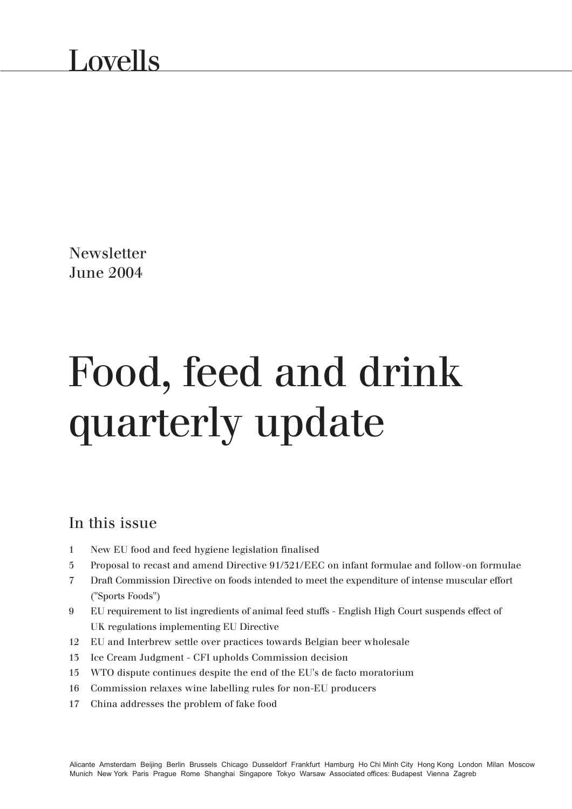**Newsletter** June 2004

# Food, feed and drink quarterly update

### In this issue

- 1 New EU food and feed hygiene legislation finalised
- 5 Proposal to recast and amend Directive 91/321/EEC on infant formulae and follow-on formulae
- 7 Draft Commission Directive on foods intended to meet the expenditure of intense muscular effort ("Sports Foods")
- 9 EU requirement to list ingredients of animal feed stuffs English High Court suspends effect of UK regulations implementing EU Directive
- 12 EU and Interbrew settle over practices towards Belgian beer wholesale
- 13 Ice Cream Judgment CFI upholds Commission decision
- 15 WTO dispute continues despite the end of the EU's de facto moratorium
- 16 Commission relaxes wine labelling rules for non-EU producers
- 17 China addresses the problem of fake food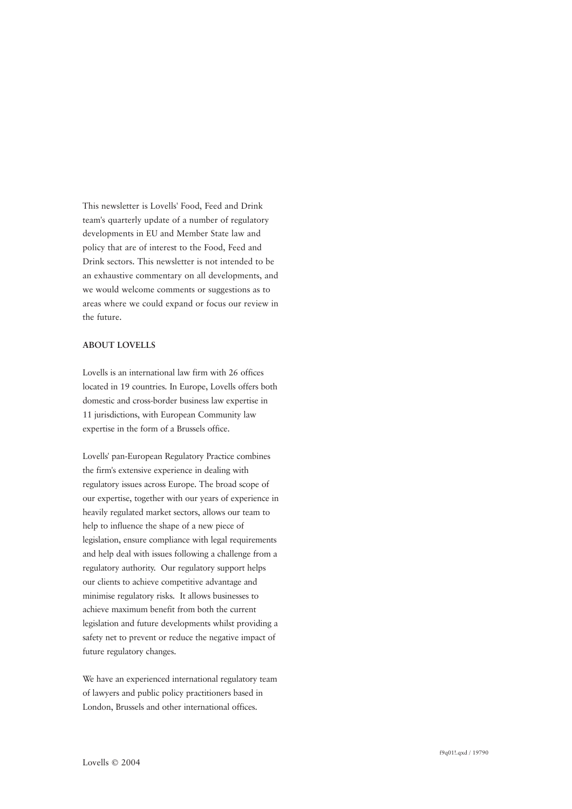This newsletter is Lovells' Food, Feed and Drink team's quarterly update of a number of regulatory developments in EU and Member State law and policy that are of interest to the Food, Feed and Drink sectors. This newsletter is not intended to be an exhaustive commentary on all developments, and we would welcome comments or suggestions as to areas where we could expand or focus our review in the future.

#### **ABOUT LOVELLS**

Lovells is an international law firm with 26 offices located in 19 countries. In Europe, Lovells offers both domestic and cross-border business law expertise in 11 jurisdictions, with European Community law expertise in the form of a Brussels office.

Lovells' pan-European Regulatory Practice combines the firm's extensive experience in dealing with regulatory issues across Europe. The broad scope of our expertise, together with our years of experience in heavily regulated market sectors, allows our team to help to influence the shape of a new piece of legislation, ensure compliance with legal requirements and help deal with issues following a challenge from a regulatory authority. Our regulatory support helps our clients to achieve competitive advantage and minimise regulatory risks. It allows businesses to achieve maximum benefit from both the current legislation and future developments whilst providing a safety net to prevent or reduce the negative impact of future regulatory changes.

We have an experienced international regulatory team of lawyers and public policy practitioners based in London, Brussels and other international offices.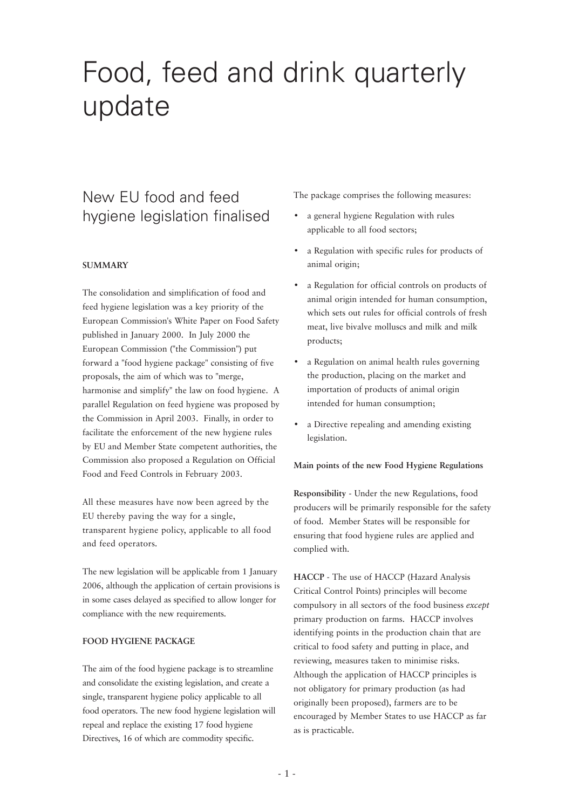# Food, feed and drink quarterly update

# New EU food and feed hygiene legislation finalised

#### **SUMMARY**

The consolidation and simplification of food and feed hygiene legislation was a key priority of the European Commission's White Paper on Food Safety published in January 2000. In July 2000 the European Commission ("the Commission") put forward a "food hygiene package" consisting of five proposals, the aim of which was to "merge, harmonise and simplify" the law on food hygiene. A parallel Regulation on feed hygiene was proposed by the Commission in April 2003. Finally, in order to facilitate the enforcement of the new hygiene rules by EU and Member State competent authorities, the Commission also proposed a Regulation on Official Food and Feed Controls in February 2003.

All these measures have now been agreed by the EU thereby paving the way for a single, transparent hygiene policy, applicable to all food and feed operators.

The new legislation will be applicable from 1 January 2006, although the application of certain provisions is in some cases delayed as specified to allow longer for compliance with the new requirements.

#### **FOOD HYGIENE PACKAGE**

The aim of the food hygiene package is to streamline and consolidate the existing legislation, and create a single, transparent hygiene policy applicable to all food operators. The new food hygiene legislation will repeal and replace the existing 17 food hygiene Directives, 16 of which are commodity specific.

The package comprises the following measures:

- a general hygiene Regulation with rules applicable to all food sectors;
- a Regulation with specific rules for products of animal origin;
- a Regulation for official controls on products of animal origin intended for human consumption, which sets out rules for official controls of fresh meat, live bivalve molluscs and milk and milk products;
- a Regulation on animal health rules governing the production, placing on the market and importation of products of animal origin intended for human consumption;
- a Directive repealing and amending existing legislation.

#### **Main points of the new Food Hygiene Regulations**

**Responsibility** - Under the new Regulations, food producers will be primarily responsible for the safety of food. Member States will be responsible for ensuring that food hygiene rules are applied and complied with.

**HACCP** - The use of HACCP (Hazard Analysis Critical Control Points) principles will become compulsory in all sectors of the food business *except* primary production on farms. HACCP involves identifying points in the production chain that are critical to food safety and putting in place, and reviewing, measures taken to minimise risks. Although the application of HACCP principles is not obligatory for primary production (as had originally been proposed), farmers are to be encouraged by Member States to use HACCP as far as is practicable.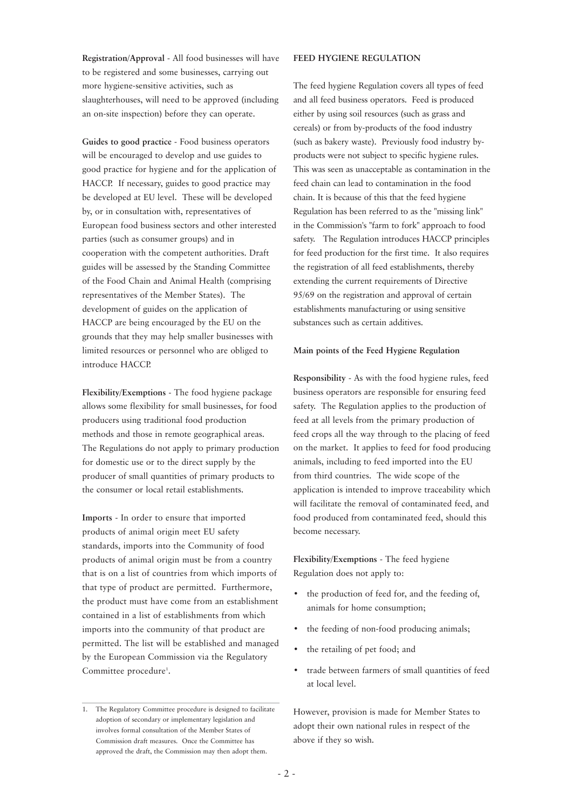**Registration/Approval** - All food businesses will have to be registered and some businesses, carrying out more hygiene-sensitive activities, such as slaughterhouses, will need to be approved (including an on-site inspection) before they can operate.

**Guides to good practice** - Food business operators will be encouraged to develop and use guides to good practice for hygiene and for the application of HACCP. If necessary, guides to good practice may be developed at EU level. These will be developed by, or in consultation with, representatives of European food business sectors and other interested parties (such as consumer groups) and in cooperation with the competent authorities. Draft guides will be assessed by the Standing Committee of the Food Chain and Animal Health (comprising representatives of the Member States). The development of guides on the application of HACCP are being encouraged by the EU on the grounds that they may help smaller businesses with limited resources or personnel who are obliged to introduce HACCP.

**Flexibility/Exemptions** - The food hygiene package allows some flexibility for small businesses, for food producers using traditional food production methods and those in remote geographical areas. The Regulations do not apply to primary production for domestic use or to the direct supply by the producer of small quantities of primary products to the consumer or local retail establishments.

**Imports** - In order to ensure that imported products of animal origin meet EU safety standards, imports into the Community of food products of animal origin must be from a country that is on a list of countries from which imports of that type of product are permitted. Furthermore, the product must have come from an establishment contained in a list of establishments from which imports into the community of that product are permitted. The list will be established and managed by the European Commission via the Regulatory Committee procedure<sup>1</sup>.

#### **FEED HYGIENE REGULATION**

The feed hygiene Regulation covers all types of feed and all feed business operators. Feed is produced either by using soil resources (such as grass and cereals) or from by-products of the food industry (such as bakery waste). Previously food industry byproducts were not subject to specific hygiene rules. This was seen as unacceptable as contamination in the feed chain can lead to contamination in the food chain. It is because of this that the feed hygiene Regulation has been referred to as the "missing link" in the Commission's "farm to fork" approach to food safety. The Regulation introduces HACCP principles for feed production for the first time. It also requires the registration of all feed establishments, thereby extending the current requirements of Directive 95/69 on the registration and approval of certain establishments manufacturing or using sensitive substances such as certain additives.

#### **Main points of the Feed Hygiene Regulation**

**Responsibility** - As with the food hygiene rules, feed business operators are responsible for ensuring feed safety. The Regulation applies to the production of feed at all levels from the primary production of feed crops all the way through to the placing of feed on the market. It applies to feed for food producing animals, including to feed imported into the EU from third countries. The wide scope of the application is intended to improve traceability which will facilitate the removal of contaminated feed, and food produced from contaminated feed, should this become necessary.

**Flexibility/Exemptions** - The feed hygiene Regulation does not apply to:

- the production of feed for, and the feeding of, animals for home consumption;
- the feeding of non-food producing animals;
- the retailing of pet food; and
- trade between farmers of small quantities of feed at local level.

However, provision is made for Member States to adopt their own national rules in respect of the above if they so wish.

<sup>1.</sup> The Regulatory Committee procedure is designed to facilitate adoption of secondary or implementary legislation and involves formal consultation of the Member States of Commission draft measures. Once the Committee has approved the draft, the Commission may then adopt them.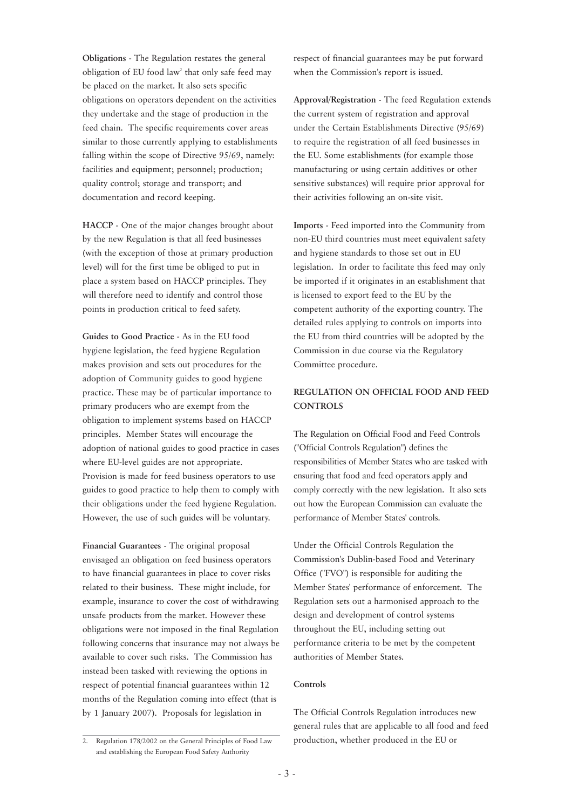**Obligations** - The Regulation restates the general obligation of EU food law<sup>2</sup> that only safe feed may be placed on the market. It also sets specific obligations on operators dependent on the activities they undertake and the stage of production in the feed chain. The specific requirements cover areas similar to those currently applying to establishments falling within the scope of Directive 95/69, namely: facilities and equipment; personnel; production; quality control; storage and transport; and documentation and record keeping.

**HACCP** - One of the major changes brought about by the new Regulation is that all feed businesses (with the exception of those at primary production level) will for the first time be obliged to put in place a system based on HACCP principles. They will therefore need to identify and control those points in production critical to feed safety.

**Guides to Good Practice** - As in the EU food hygiene legislation, the feed hygiene Regulation makes provision and sets out procedures for the adoption of Community guides to good hygiene practice. These may be of particular importance to primary producers who are exempt from the obligation to implement systems based on HACCP principles. Member States will encourage the adoption of national guides to good practice in cases where EU-level guides are not appropriate. Provision is made for feed business operators to use guides to good practice to help them to comply with their obligations under the feed hygiene Regulation. However, the use of such guides will be voluntary.

**Financial Guarantees** - The original proposal envisaged an obligation on feed business operators to have financial guarantees in place to cover risks related to their business. These might include, for example, insurance to cover the cost of withdrawing unsafe products from the market. However these obligations were not imposed in the final Regulation following concerns that insurance may not always be available to cover such risks. The Commission has instead been tasked with reviewing the options in respect of potential financial guarantees within 12 months of the Regulation coming into effect (that is by 1 January 2007). Proposals for legislation in

2. Regulation 178/2002 on the General Principles of Food Law and establishing the European Food Safety Authority

respect of financial guarantees may be put forward when the Commission's report is issued.

**Approval/Registration** - The feed Regulation extends the current system of registration and approval under the Certain Establishments Directive (95/69) to require the registration of all feed businesses in the EU. Some establishments (for example those manufacturing or using certain additives or other sensitive substances) will require prior approval for their activities following an on-site visit.

**Imports** - Feed imported into the Community from non-EU third countries must meet equivalent safety and hygiene standards to those set out in EU legislation. In order to facilitate this feed may only be imported if it originates in an establishment that is licensed to export feed to the EU by the competent authority of the exporting country. The detailed rules applying to controls on imports into the EU from third countries will be adopted by the Commission in due course via the Regulatory Committee procedure.

#### **REGULATION ON OFFICIAL FOOD AND FEED CONTROLS**

The Regulation on Official Food and Feed Controls ("Official Controls Regulation") defines the responsibilities of Member States who are tasked with ensuring that food and feed operators apply and comply correctly with the new legislation. It also sets out how the European Commission can evaluate the performance of Member States' controls.

Under the Official Controls Regulation the Commission's Dublin-based Food and Veterinary Office ("FVO") is responsible for auditing the Member States' performance of enforcement. The Regulation sets out a harmonised approach to the design and development of control systems throughout the EU, including setting out performance criteria to be met by the competent authorities of Member States.

#### **Controls**

The Official Controls Regulation introduces new general rules that are applicable to all food and feed production, whether produced in the EU or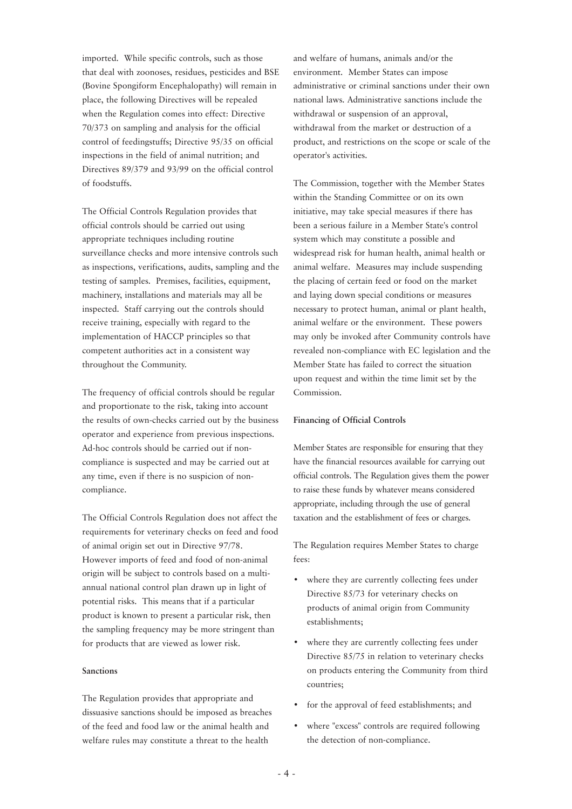imported. While specific controls, such as those that deal with zoonoses, residues, pesticides and BSE (Bovine Spongiform Encephalopathy) will remain in place, the following Directives will be repealed when the Regulation comes into effect: Directive 70/373 on sampling and analysis for the official control of feedingstuffs; Directive 95/35 on official inspections in the field of animal nutrition; and Directives 89/379 and 93/99 on the official control of foodstuffs.

The Official Controls Regulation provides that official controls should be carried out using appropriate techniques including routine surveillance checks and more intensive controls such as inspections, verifications, audits, sampling and the testing of samples. Premises, facilities, equipment, machinery, installations and materials may all be inspected. Staff carrying out the controls should receive training, especially with regard to the implementation of HACCP principles so that competent authorities act in a consistent way throughout the Community.

The frequency of official controls should be regular and proportionate to the risk, taking into account the results of own-checks carried out by the business operator and experience from previous inspections. Ad-hoc controls should be carried out if noncompliance is suspected and may be carried out at any time, even if there is no suspicion of noncompliance.

The Official Controls Regulation does not affect the requirements for veterinary checks on feed and food of animal origin set out in Directive 97/78. However imports of feed and food of non-animal origin will be subject to controls based on a multiannual national control plan drawn up in light of potential risks. This means that if a particular product is known to present a particular risk, then the sampling frequency may be more stringent than for products that are viewed as lower risk.

#### **Sanctions**

The Regulation provides that appropriate and dissuasive sanctions should be imposed as breaches of the feed and food law or the animal health and welfare rules may constitute a threat to the health

and welfare of humans, animals and/or the environment. Member States can impose administrative or criminal sanctions under their own national laws. Administrative sanctions include the withdrawal or suspension of an approval, withdrawal from the market or destruction of a product, and restrictions on the scope or scale of the operator's activities.

The Commission, together with the Member States within the Standing Committee or on its own initiative, may take special measures if there has been a serious failure in a Member State's control system which may constitute a possible and widespread risk for human health, animal health or animal welfare. Measures may include suspending the placing of certain feed or food on the market and laying down special conditions or measures necessary to protect human, animal or plant health, animal welfare or the environment. These powers may only be invoked after Community controls have revealed non-compliance with EC legislation and the Member State has failed to correct the situation upon request and within the time limit set by the Commission.

#### **Financing of Official Controls**

Member States are responsible for ensuring that they have the financial resources available for carrying out official controls. The Regulation gives them the power to raise these funds by whatever means considered appropriate, including through the use of general taxation and the establishment of fees or charges.

The Regulation requires Member States to charge fees:

- where they are currently collecting fees under Directive 85/73 for veterinary checks on products of animal origin from Community establishments;
- where they are currently collecting fees under Directive 85/75 in relation to veterinary checks on products entering the Community from third countries;
- for the approval of feed establishments; and
- where "excess" controls are required following the detection of non-compliance.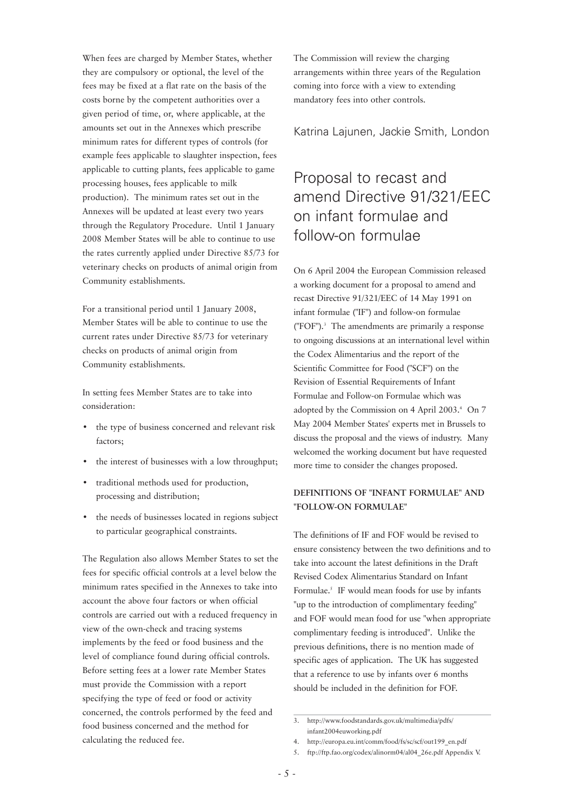When fees are charged by Member States, whether they are compulsory or optional, the level of the fees may be fixed at a flat rate on the basis of the costs borne by the competent authorities over a given period of time, or, where applicable, at the amounts set out in the Annexes which prescribe minimum rates for different types of controls (for example fees applicable to slaughter inspection, fees applicable to cutting plants, fees applicable to game processing houses, fees applicable to milk production). The minimum rates set out in the Annexes will be updated at least every two years through the Regulatory Procedure. Until 1 January 2008 Member States will be able to continue to use the rates currently applied under Directive 85/73 for veterinary checks on products of animal origin from Community establishments.

For a transitional period until 1 January 2008, Member States will be able to continue to use the current rates under Directive 85/73 for veterinary checks on products of animal origin from Community establishments.

In setting fees Member States are to take into consideration:

- the type of business concerned and relevant risk factors;
- the interest of businesses with a low throughput;
- traditional methods used for production, processing and distribution;
- the needs of businesses located in regions subject to particular geographical constraints.

The Regulation also allows Member States to set the fees for specific official controls at a level below the minimum rates specified in the Annexes to take into account the above four factors or when official controls are carried out with a reduced frequency in view of the own-check and tracing systems implements by the feed or food business and the level of compliance found during official controls. Before setting fees at a lower rate Member States must provide the Commission with a report specifying the type of feed or food or activity concerned, the controls performed by the feed and food business concerned and the method for calculating the reduced fee.

The Commission will review the charging arrangements within three years of the Regulation coming into force with a view to extending mandatory fees into other controls.

Katrina Lajunen, Jackie Smith, London

# Proposal to recast and amend Directive 91/321/EEC on infant formulae and follow-on formulae

On 6 April 2004 the European Commission released a working document for a proposal to amend and recast Directive 91/321/EEC of 14 May 1991 on infant formulae ("IF") and follow-on formulae ("FOF").3 The amendments are primarily a response to ongoing discussions at an international level within the Codex Alimentarius and the report of the Scientific Committee for Food ("SCF") on the Revision of Essential Requirements of Infant Formulae and Follow-on Formulae which was adopted by the Commission on 4 April 2003.4 On 7 May 2004 Member States' experts met in Brussels to discuss the proposal and the views of industry. Many welcomed the working document but have requested more time to consider the changes proposed.

#### **DEFINITIONS OF "INFANT FORMULAE" AND "FOLLOW-ON FORMULAE"**

The definitions of IF and FOF would be revised to ensure consistency between the two definitions and to take into account the latest definitions in the Draft Revised Codex Alimentarius Standard on Infant Formulae.<sup>5</sup> IF would mean foods for use by infants "up to the introduction of complimentary feeding" and FOF would mean food for use "when appropriate complimentary feeding is introduced". Unlike the previous definitions, there is no mention made of specific ages of application. The UK has suggested that a reference to use by infants over 6 months should be included in the definition for FOF.

<sup>3.</sup> http://www.foodstandards.gov.uk/multimedia/pdfs/ infant2004euworking.pdf

<sup>4.</sup> http://europa.eu.int/comm/food/fs/sc/scf/out199\_en.pdf

<sup>5.</sup> ftp://ftp.fao.org/codex/alinorm04/al04\_26e.pdf Appendix V.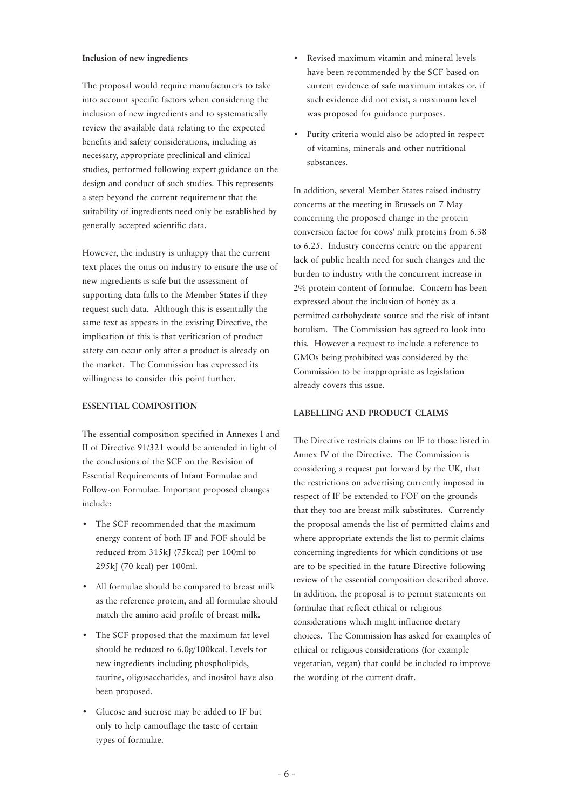#### **Inclusion of new ingredients**

The proposal would require manufacturers to take into account specific factors when considering the inclusion of new ingredients and to systematically review the available data relating to the expected benefits and safety considerations, including as necessary, appropriate preclinical and clinical studies, performed following expert guidance on the design and conduct of such studies. This represents a step beyond the current requirement that the suitability of ingredients need only be established by generally accepted scientific data.

However, the industry is unhappy that the current text places the onus on industry to ensure the use of new ingredients is safe but the assessment of supporting data falls to the Member States if they request such data. Although this is essentially the same text as appears in the existing Directive, the implication of this is that verification of product safety can occur only after a product is already on the market. The Commission has expressed its willingness to consider this point further.

#### **ESSENTIAL COMPOSITION**

The essential composition specified in Annexes I and II of Directive 91/321 would be amended in light of the conclusions of the SCF on the Revision of Essential Requirements of Infant Formulae and Follow-on Formulae. Important proposed changes include:

- The SCF recommended that the maximum energy content of both IF and FOF should be reduced from 315kJ (75kcal) per 100ml to 295kJ (70 kcal) per 100ml.
- All formulae should be compared to breast milk as the reference protein, and all formulae should match the amino acid profile of breast milk.
- The SCF proposed that the maximum fat level should be reduced to 6.0g/100kcal. Levels for new ingredients including phospholipids, taurine, oligosaccharides, and inositol have also been proposed.
- Glucose and sucrose may be added to IF but only to help camouflage the taste of certain types of formulae.
- Revised maximum vitamin and mineral levels have been recommended by the SCF based on current evidence of safe maximum intakes or, if such evidence did not exist, a maximum level was proposed for guidance purposes.
- Purity criteria would also be adopted in respect of vitamins, minerals and other nutritional substances.

In addition, several Member States raised industry concerns at the meeting in Brussels on 7 May concerning the proposed change in the protein conversion factor for cows' milk proteins from 6.38 to 6.25. Industry concerns centre on the apparent lack of public health need for such changes and the burden to industry with the concurrent increase in 2% protein content of formulae. Concern has been expressed about the inclusion of honey as a permitted carbohydrate source and the risk of infant botulism. The Commission has agreed to look into this. However a request to include a reference to GMOs being prohibited was considered by the Commission to be inappropriate as legislation already covers this issue.

#### **LABELLING AND PRODUCT CLAIMS**

The Directive restricts claims on IF to those listed in Annex IV of the Directive. The Commission is considering a request put forward by the UK, that the restrictions on advertising currently imposed in respect of IF be extended to FOF on the grounds that they too are breast milk substitutes. Currently the proposal amends the list of permitted claims and where appropriate extends the list to permit claims concerning ingredients for which conditions of use are to be specified in the future Directive following review of the essential composition described above. In addition, the proposal is to permit statements on formulae that reflect ethical or religious considerations which might influence dietary choices. The Commission has asked for examples of ethical or religious considerations (for example vegetarian, vegan) that could be included to improve the wording of the current draft.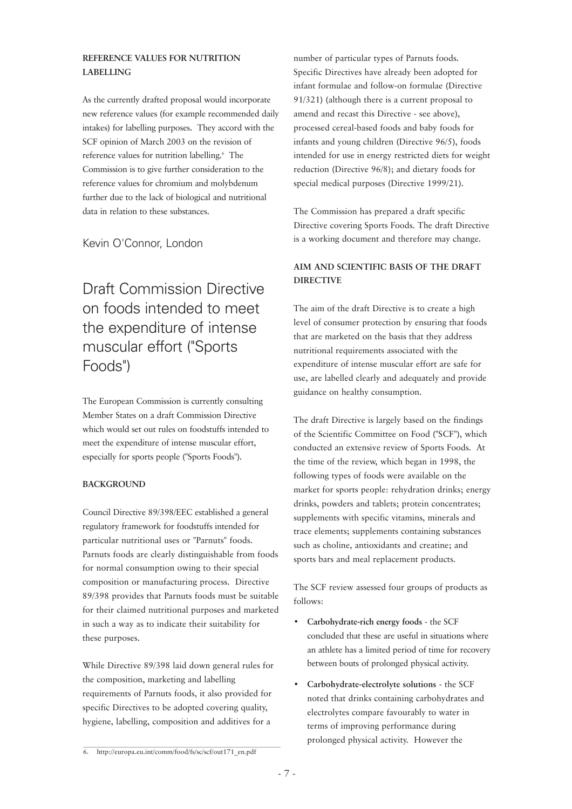#### **REFERENCE VALUES FOR NUTRITION LABELLING**

As the currently drafted proposal would incorporate new reference values (for example recommended daily intakes) for labelling purposes. They accord with the SCF opinion of March 2003 on the revision of reference values for nutrition labelling.<sup>6</sup> The Commission is to give further consideration to the reference values for chromium and molybdenum further due to the lack of biological and nutritional data in relation to these substances.

Kevin O'Connor, London

# Draft Commission Directive on foods intended to meet the expenditure of intense muscular effort ("Sports Foods")

The European Commission is currently consulting Member States on a draft Commission Directive which would set out rules on foodstuffs intended to meet the expenditure of intense muscular effort, especially for sports people ("Sports Foods").

#### **BACKGROUND**

Council Directive 89/398/EEC established a general regulatory framework for foodstuffs intended for particular nutritional uses or "Parnuts" foods. Parnuts foods are clearly distinguishable from foods for normal consumption owing to their special composition or manufacturing process. Directive 89/398 provides that Parnuts foods must be suitable for their claimed nutritional purposes and marketed in such a way as to indicate their suitability for these purposes.

While Directive 89/398 laid down general rules for the composition, marketing and labelling requirements of Parnuts foods, it also provided for specific Directives to be adopted covering quality, hygiene, labelling, composition and additives for a

number of particular types of Parnuts foods. Specific Directives have already been adopted for infant formulae and follow-on formulae (Directive 91/321) (although there is a current proposal to amend and recast this Directive - see above), processed cereal-based foods and baby foods for infants and young children (Directive 96/5), foods intended for use in energy restricted diets for weight reduction (Directive 96/8); and dietary foods for special medical purposes (Directive 1999/21).

The Commission has prepared a draft specific Directive covering Sports Foods. The draft Directive is a working document and therefore may change.

#### **AIM AND SCIENTIFIC BASIS OF THE DRAFT DIRECTIVE**

The aim of the draft Directive is to create a high level of consumer protection by ensuring that foods that are marketed on the basis that they address nutritional requirements associated with the expenditure of intense muscular effort are safe for use, are labelled clearly and adequately and provide guidance on healthy consumption.

The draft Directive is largely based on the findings of the Scientific Committee on Food ("SCF"), which conducted an extensive review of Sports Foods. At the time of the review, which began in 1998, the following types of foods were available on the market for sports people: rehydration drinks; energy drinks, powders and tablets; protein concentrates; supplements with specific vitamins, minerals and trace elements; supplements containing substances such as choline, antioxidants and creatine; and sports bars and meal replacement products.

The SCF review assessed four groups of products as follows:

- **Carbohydrate-rich energy foods** the SCF concluded that these are useful in situations where an athlete has a limited period of time for recovery between bouts of prolonged physical activity.
- **Carbohydrate-electrolyte solutions** the SCF noted that drinks containing carbohydrates and electrolytes compare favourably to water in terms of improving performance during prolonged physical activity. However the

<sup>6.</sup> http://europa.eu.int/comm/food/fs/sc/scf/out171\_en.pdf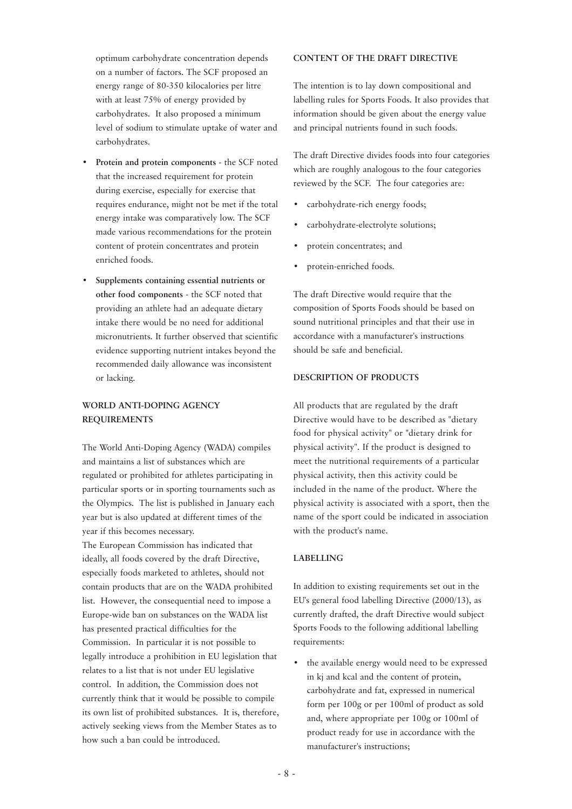optimum carbohydrate concentration depends on a number of factors. The SCF proposed an energy range of 80-350 kilocalories per litre with at least 75% of energy provided by carbohydrates. It also proposed a minimum level of sodium to stimulate uptake of water and carbohydrates.

- **Protein and protein components** the SCF noted that the increased requirement for protein during exercise, especially for exercise that requires endurance, might not be met if the total energy intake was comparatively low. The SCF made various recommendations for the protein content of protein concentrates and protein enriched foods.
- **Supplements containing essential nutrients or other food components** - the SCF noted that providing an athlete had an adequate dietary intake there would be no need for additional micronutrients. It further observed that scientific evidence supporting nutrient intakes beyond the recommended daily allowance was inconsistent or lacking.

#### **WORLD ANTI-DOPING AGENCY REQUIREMENTS**

The World Anti-Doping Agency (WADA) compiles and maintains a list of substances which are regulated or prohibited for athletes participating in particular sports or in sporting tournaments such as the Olympics. The list is published in January each year but is also updated at different times of the year if this becomes necessary.

The European Commission has indicated that ideally, all foods covered by the draft Directive, especially foods marketed to athletes, should not contain products that are on the WADA prohibited list. However, the consequential need to impose a Europe-wide ban on substances on the WADA list has presented practical difficulties for the Commission. In particular it is not possible to legally introduce a prohibition in EU legislation that relates to a list that is not under EU legislative control. In addition, the Commission does not currently think that it would be possible to compile its own list of prohibited substances. It is, therefore, actively seeking views from the Member States as to how such a ban could be introduced.

#### **CONTENT OF THE DRAFT DIRECTIVE**

The intention is to lay down compositional and labelling rules for Sports Foods. It also provides that information should be given about the energy value and principal nutrients found in such foods.

The draft Directive divides foods into four categories which are roughly analogous to the four categories reviewed by the SCF. The four categories are:

- carbohydrate-rich energy foods;
- carbohydrate-electrolyte solutions;
- protein concentrates; and
- protein-enriched foods.

The draft Directive would require that the composition of Sports Foods should be based on sound nutritional principles and that their use in accordance with a manufacturer's instructions should be safe and beneficial.

#### **DESCRIPTION OF PRODUCTS**

All products that are regulated by the draft Directive would have to be described as "dietary food for physical activity" or "dietary drink for physical activity". If the product is designed to meet the nutritional requirements of a particular physical activity, then this activity could be included in the name of the product. Where the physical activity is associated with a sport, then the name of the sport could be indicated in association with the product's name.

#### **LABELLING**

In addition to existing requirements set out in the EU's general food labelling Directive (2000/13), as currently drafted, the draft Directive would subject Sports Foods to the following additional labelling requirements:

• the available energy would need to be expressed in kj and kcal and the content of protein, carbohydrate and fat, expressed in numerical form per 100g or per 100ml of product as sold and, where appropriate per 100g or 100ml of product ready for use in accordance with the manufacturer's instructions;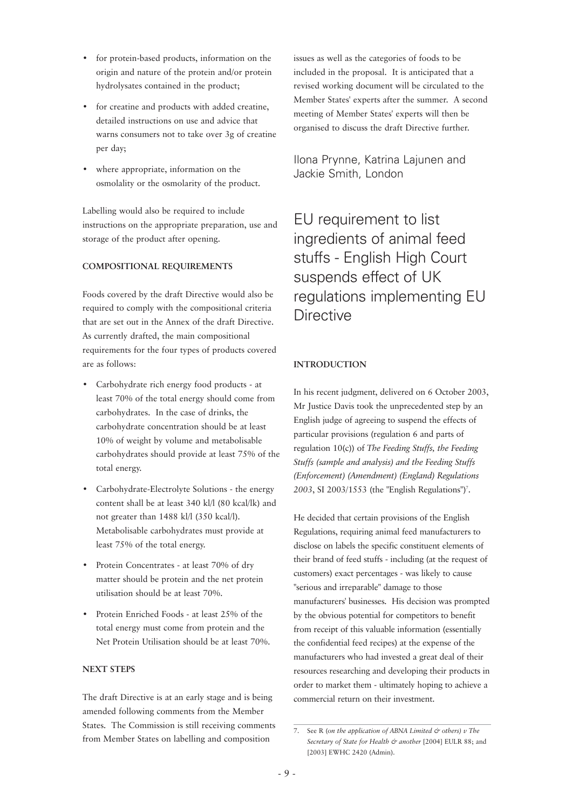- for protein-based products, information on the origin and nature of the protein and/or protein hydrolysates contained in the product;
- for creatine and products with added creatine, detailed instructions on use and advice that warns consumers not to take over 3g of creatine per day;
- where appropriate, information on the osmolality or the osmolarity of the product.

Labelling would also be required to include instructions on the appropriate preparation, use and storage of the product after opening.

#### **COMPOSITIONAL REQUIREMENTS**

Foods covered by the draft Directive would also be required to comply with the compositional criteria that are set out in the Annex of the draft Directive. As currently drafted, the main compositional requirements for the four types of products covered are as follows:

- Carbohydrate rich energy food products at least 70% of the total energy should come from carbohydrates. In the case of drinks, the carbohydrate concentration should be at least 10% of weight by volume and metabolisable carbohydrates should provide at least 75% of the total energy.
- Carbohydrate-Electrolyte Solutions the energy content shall be at least 340 kl/l (80 kcal/lk) and not greater than 1488 kl/l (350 kcal/l). Metabolisable carbohydrates must provide at least 75% of the total energy.
- Protein Concentrates at least 70% of dry matter should be protein and the net protein utilisation should be at least 70%.
- Protein Enriched Foods at least 25% of the total energy must come from protein and the Net Protein Utilisation should be at least 70%.

#### **NEXT STEPS**

The draft Directive is at an early stage and is being amended following comments from the Member States. The Commission is still receiving comments from Member States on labelling and composition

issues as well as the categories of foods to be included in the proposal. It is anticipated that a revised working document will be circulated to the Member States' experts after the summer. A second meeting of Member States' experts will then be organised to discuss the draft Directive further.

Ilona Prynne, Katrina Lajunen and Jackie Smith, London

EU requirement to list ingredients of animal feed stuffs - English High Court suspends effect of UK regulations implementing EU **Directive** 

#### **INTRODUCTION**

In his recent judgment, delivered on 6 October 2003, Mr Justice Davis took the unprecedented step by an English judge of agreeing to suspend the effects of particular provisions (regulation 6 and parts of regulation 10(c)) of *The Feeding Stuffs, the Feeding Stuffs (sample and analysis) and the Feeding Stuffs (Enforcement) (Amendment) (England) Regulations* 2003, SI 2003/1553 (the "English Regulations")<sup>7</sup>.

He decided that certain provisions of the English Regulations, requiring animal feed manufacturers to disclose on labels the specific constituent elements of their brand of feed stuffs - including (at the request of customers) exact percentages - was likely to cause "serious and irreparable" damage to those manufacturers' businesses. His decision was prompted by the obvious potential for competitors to benefit from receipt of this valuable information (essentially the confidential feed recipes) at the expense of the manufacturers who had invested a great deal of their resources researching and developing their products in order to market them - ultimately hoping to achieve a commercial return on their investment.

<sup>7.</sup> See R (*on the application of ABNA Limited & others) v The Secretary of State for Health & another* [2004] EULR 88; and [2003] EWHC 2420 (Admin).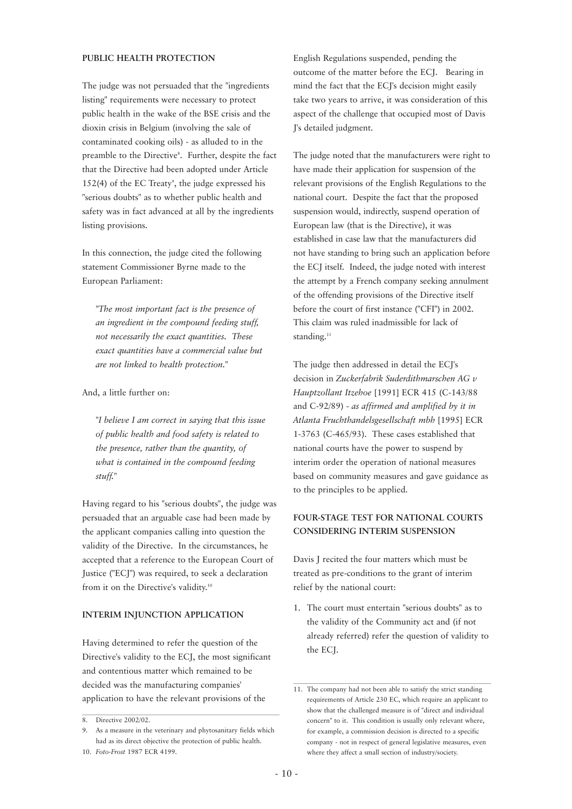#### **PUBLIC HEALTH PROTECTION**

The judge was not persuaded that the "ingredients listing" requirements were necessary to protect public health in the wake of the BSE crisis and the dioxin crisis in Belgium (involving the sale of contaminated cooking oils) - as alluded to in the preamble to the Directive<sup>8</sup>. Further, despite the fact that the Directive had been adopted under Article  $152(4)$  of the EC Treaty<sup>9</sup>, the judge expressed his "serious doubts" as to whether public health and safety was in fact advanced at all by the ingredients listing provisions.

In this connection, the judge cited the following statement Commissioner Byrne made to the European Parliament:

*"The most important fact is the presence of an ingredient in the compound feeding stuff, not necessarily the exact quantities. These exact quantities have a commercial value but are not linked to health protection."*

#### And, a little further on:

*"I believe I am correct in saying that this issue of public health and food safety is related to the presence, rather than the quantity, of what is contained in the compound feeding stuff."* 

Having regard to his "serious doubts", the judge was persuaded that an arguable case had been made by the applicant companies calling into question the validity of the Directive. In the circumstances, he accepted that a reference to the European Court of Justice ("ECJ") was required, to seek a declaration from it on the Directive's validity.<sup>10</sup>

#### **INTERIM INJUNCTION APPLICATION**

Having determined to refer the question of the Directive's validity to the ECJ, the most significant and contentious matter which remained to be decided was the manufacturing companies' application to have the relevant provisions of the

English Regulations suspended, pending the outcome of the matter before the ECJ. Bearing in mind the fact that the ECJ's decision might easily take two years to arrive, it was consideration of this aspect of the challenge that occupied most of Davis J's detailed judgment.

The judge noted that the manufacturers were right to have made their application for suspension of the relevant provisions of the English Regulations to the national court. Despite the fact that the proposed suspension would, indirectly, suspend operation of European law (that is the Directive), it was established in case law that the manufacturers did not have standing to bring such an application before the ECJ itself. Indeed, the judge noted with interest the attempt by a French company seeking annulment of the offending provisions of the Directive itself before the court of first instance ("CFI") in 2002. This claim was ruled inadmissible for lack of standing.<sup>11</sup>

The judge then addressed in detail the ECJ's decision in *Zuckerfabrik Suderdithmarschen AG v Hauptzollant Itzehoe* [1991] ECR 415 (C-143/88 and C-92/89) *- as affirmed and amplified by it in Atlanta Fruchthandelsgesellschaft mbh* [1995] ECR 1-3763 (C-465/93). These cases established that national courts have the power to suspend by interim order the operation of national measures based on community measures and gave guidance as to the principles to be applied.

#### **FOUR-STAGE TEST FOR NATIONAL COURTS CONSIDERING INTERIM SUSPENSION**

Davis J recited the four matters which must be treated as pre-conditions to the grant of interim relief by the national court:

1. The court must entertain "serious doubts" as to the validity of the Community act and (if not already referred) refer the question of validity to the ECJ.

<sup>8.</sup> Directive 2002/02.

<sup>9.</sup> As a measure in the veterinary and phytosanitary fields which had as its direct objective the protection of public health.

<sup>10.</sup> *Foto-Frost* 1987 ECR 4199.

<sup>11.</sup> The company had not been able to satisfy the strict standing requirements of Article 230 EC, which require an applicant to show that the challenged measure is of "direct and individual concern" to it. This condition is usually only relevant where, for example, a commission decision is directed to a specific company - not in respect of general legislative measures, even where they affect a small section of industry/society.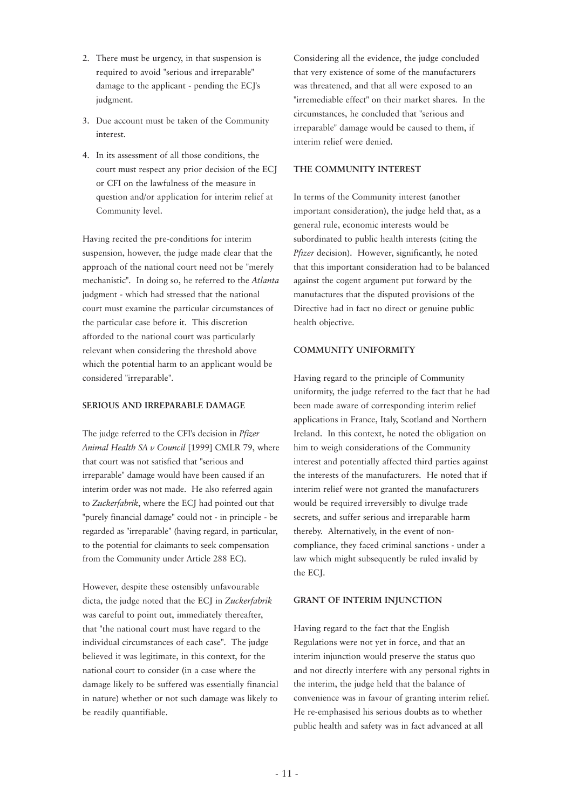- 2. There must be urgency, in that suspension is required to avoid "serious and irreparable" damage to the applicant - pending the ECJ's judgment.
- 3. Due account must be taken of the Community interest.
- 4. In its assessment of all those conditions, the court must respect any prior decision of the ECJ or CFI on the lawfulness of the measure in question and/or application for interim relief at Community level.

Having recited the pre-conditions for interim suspension, however, the judge made clear that the approach of the national court need not be "merely mechanistic". In doing so, he referred to the *Atlanta* judgment - which had stressed that the national court must examine the particular circumstances of the particular case before it. This discretion afforded to the national court was particularly relevant when considering the threshold above which the potential harm to an applicant would be considered "irreparable".

#### **SERIOUS AND IRREPARABLE DAMAGE**

The judge referred to the CFI's decision in *Pfizer Animal Health SA v Council* [1999] CMLR 79, where that court was not satisfied that "serious and irreparable" damage would have been caused if an interim order was not made. He also referred again to *Zuckerfabrik*, where the ECJ had pointed out that "purely financial damage" could not - in principle - be regarded as "irreparable" (having regard, in particular, to the potential for claimants to seek compensation from the Community under Article 288 EC).

However, despite these ostensibly unfavourable dicta, the judge noted that the ECJ in *Zuckerfabrik* was careful to point out, immediately thereafter, that "the national court must have regard to the individual circumstances of each case". The judge believed it was legitimate, in this context, for the national court to consider (in a case where the damage likely to be suffered was essentially financial in nature) whether or not such damage was likely to be readily quantifiable.

Considering all the evidence, the judge concluded that very existence of some of the manufacturers was threatened, and that all were exposed to an "irremediable effect" on their market shares. In the circumstances, he concluded that "serious and irreparable" damage would be caused to them, if interim relief were denied.

#### **THE COMMUNITY INTEREST**

In terms of the Community interest (another important consideration), the judge held that, as a general rule, economic interests would be subordinated to public health interests (citing the Pfizer decision). However, significantly, he noted that this important consideration had to be balanced against the cogent argument put forward by the manufactures that the disputed provisions of the Directive had in fact no direct or genuine public health objective.

#### **COMMUNITY UNIFORMITY**

Having regard to the principle of Community uniformity, the judge referred to the fact that he had been made aware of corresponding interim relief applications in France, Italy, Scotland and Northern Ireland. In this context, he noted the obligation on him to weigh considerations of the Community interest and potentially affected third parties against the interests of the manufacturers. He noted that if interim relief were not granted the manufacturers would be required irreversibly to divulge trade secrets, and suffer serious and irreparable harm thereby. Alternatively, in the event of noncompliance, they faced criminal sanctions - under a law which might subsequently be ruled invalid by the ECJ.

#### **GRANT OF INTERIM INJUNCTION**

Having regard to the fact that the English Regulations were not yet in force, and that an interim injunction would preserve the status quo and not directly interfere with any personal rights in the interim, the judge held that the balance of convenience was in favour of granting interim relief. He re-emphasised his serious doubts as to whether public health and safety was in fact advanced at all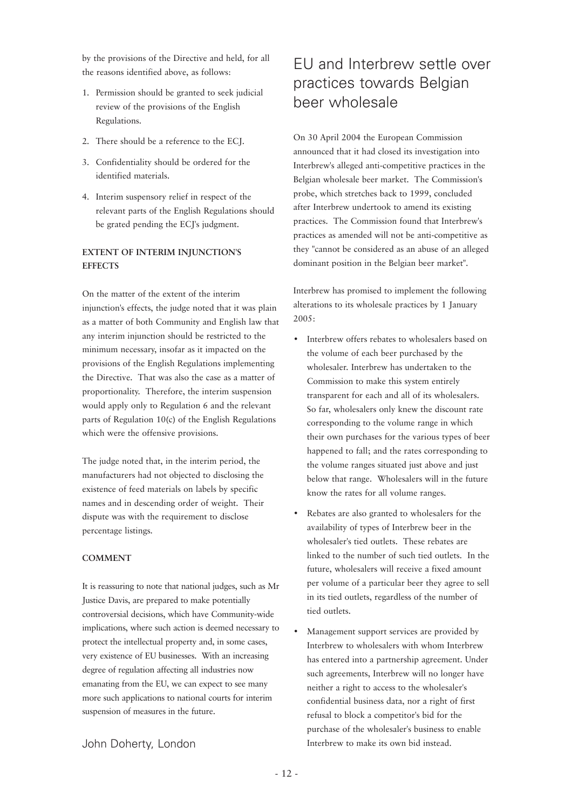by the provisions of the Directive and held, for all the reasons identified above, as follows:

- 1. Permission should be granted to seek judicial review of the provisions of the English Regulations.
- 2. There should be a reference to the ECJ.
- 3. Confidentiality should be ordered for the identified materials.
- 4. Interim suspensory relief in respect of the relevant parts of the English Regulations should be grated pending the ECJ's judgment.

#### **EXTENT OF INTERIM INJUNCTION'S EFFECTS**

On the matter of the extent of the interim injunction's effects, the judge noted that it was plain as a matter of both Community and English law that any interim injunction should be restricted to the minimum necessary, insofar as it impacted on the provisions of the English Regulations implementing the Directive. That was also the case as a matter of proportionality. Therefore, the interim suspension would apply only to Regulation 6 and the relevant parts of Regulation 10(c) of the English Regulations which were the offensive provisions.

The judge noted that, in the interim period, the manufacturers had not objected to disclosing the existence of feed materials on labels by specific names and in descending order of weight. Their dispute was with the requirement to disclose percentage listings.

#### **COMMENT**

It is reassuring to note that national judges, such as Mr Justice Davis, are prepared to make potentially controversial decisions, which have Community-wide implications, where such action is deemed necessary to protect the intellectual property and, in some cases, very existence of EU businesses. With an increasing degree of regulation affecting all industries now emanating from the EU, we can expect to see many more such applications to national courts for interim suspension of measures in the future.

# EU and Interbrew settle over practices towards Belgian beer wholesale

On 30 April 2004 the European Commission announced that it had closed its investigation into Interbrew's alleged anti-competitive practices in the Belgian wholesale beer market. The Commission's probe, which stretches back to 1999, concluded after Interbrew undertook to amend its existing practices. The Commission found that Interbrew's practices as amended will not be anti-competitive as they "cannot be considered as an abuse of an alleged dominant position in the Belgian beer market".

Interbrew has promised to implement the following alterations to its wholesale practices by 1 January 2005:

- Interbrew offers rebates to wholesalers based on the volume of each beer purchased by the wholesaler. Interbrew has undertaken to the Commission to make this system entirely transparent for each and all of its wholesalers. So far, wholesalers only knew the discount rate corresponding to the volume range in which their own purchases for the various types of beer happened to fall; and the rates corresponding to the volume ranges situated just above and just below that range. Wholesalers will in the future know the rates for all volume ranges.
- Rebates are also granted to wholesalers for the availability of types of Interbrew beer in the wholesaler's tied outlets. These rebates are linked to the number of such tied outlets. In the future, wholesalers will receive a fixed amount per volume of a particular beer they agree to sell in its tied outlets, regardless of the number of tied outlets.
- Management support services are provided by Interbrew to wholesalers with whom Interbrew has entered into a partnership agreement. Under such agreements, Interbrew will no longer have neither a right to access to the wholesaler's confidential business data, nor a right of first refusal to block a competitor's bid for the purchase of the wholesaler's business to enable Interbrew to make its own bid instead.

#### John Doherty, London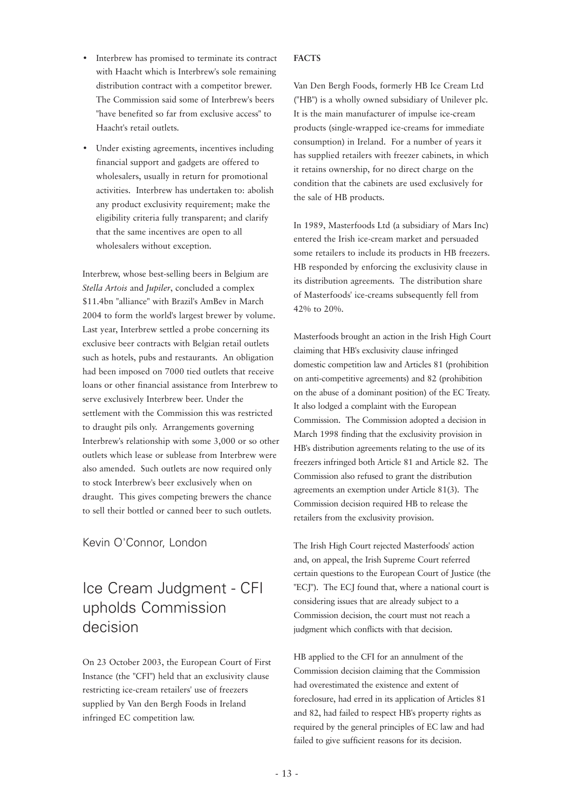- Interbrew has promised to terminate its contract with Haacht which is Interbrew's sole remaining distribution contract with a competitor brewer. The Commission said some of Interbrew's beers "have benefited so far from exclusive access" to Haacht's retail outlets.
- Under existing agreements, incentives including financial support and gadgets are offered to wholesalers, usually in return for promotional activities. Interbrew has undertaken to: abolish any product exclusivity requirement; make the eligibility criteria fully transparent; and clarify that the same incentives are open to all wholesalers without exception.

Interbrew, whose best-selling beers in Belgium are *Stella Artois* and *Jupiler*, concluded a complex \$11.4bn "alliance" with Brazil's AmBev in March 2004 to form the world's largest brewer by volume. Last year, Interbrew settled a probe concerning its exclusive beer contracts with Belgian retail outlets such as hotels, pubs and restaurants. An obligation had been imposed on 7000 tied outlets that receive loans or other financial assistance from Interbrew to serve exclusively Interbrew beer. Under the settlement with the Commission this was restricted to draught pils only. Arrangements governing Interbrew's relationship with some 3,000 or so other outlets which lease or sublease from Interbrew were also amended. Such outlets are now required only to stock Interbrew's beer exclusively when on draught. This gives competing brewers the chance to sell their bottled or canned beer to such outlets.

#### Kevin O'Connor, London

# Ice Cream Judgment - CFI upholds Commission decision

On 23 October 2003, the European Court of First Instance (the "CFI") held that an exclusivity clause restricting ice-cream retailers' use of freezers supplied by Van den Bergh Foods in Ireland infringed EC competition law.

#### **FACTS**

Van Den Bergh Foods, formerly HB Ice Cream Ltd ("HB") is a wholly owned subsidiary of Unilever plc. It is the main manufacturer of impulse ice-cream products (single-wrapped ice-creams for immediate consumption) in Ireland. For a number of years it has supplied retailers with freezer cabinets, in which it retains ownership, for no direct charge on the condition that the cabinets are used exclusively for the sale of HB products.

In 1989, Masterfoods Ltd (a subsidiary of Mars Inc) entered the Irish ice-cream market and persuaded some retailers to include its products in HB freezers. HB responded by enforcing the exclusivity clause in its distribution agreements. The distribution share of Masterfoods' ice-creams subsequently fell from 42% to 20%.

Masterfoods brought an action in the Irish High Court claiming that HB's exclusivity clause infringed domestic competition law and Articles 81 (prohibition on anti-competitive agreements) and 82 (prohibition on the abuse of a dominant position) of the EC Treaty. It also lodged a complaint with the European Commission. The Commission adopted a decision in March 1998 finding that the exclusivity provision in HB's distribution agreements relating to the use of its freezers infringed both Article 81 and Article 82. The Commission also refused to grant the distribution agreements an exemption under Article 81(3). The Commission decision required HB to release the retailers from the exclusivity provision.

The Irish High Court rejected Masterfoods' action and, on appeal, the Irish Supreme Court referred certain questions to the European Court of Justice (the "ECJ"). The ECJ found that, where a national court is considering issues that are already subject to a Commission decision, the court must not reach a judgment which conflicts with that decision.

HB applied to the CFI for an annulment of the Commission decision claiming that the Commission had overestimated the existence and extent of foreclosure, had erred in its application of Articles 81 and 82, had failed to respect HB's property rights as required by the general principles of EC law and had failed to give sufficient reasons for its decision.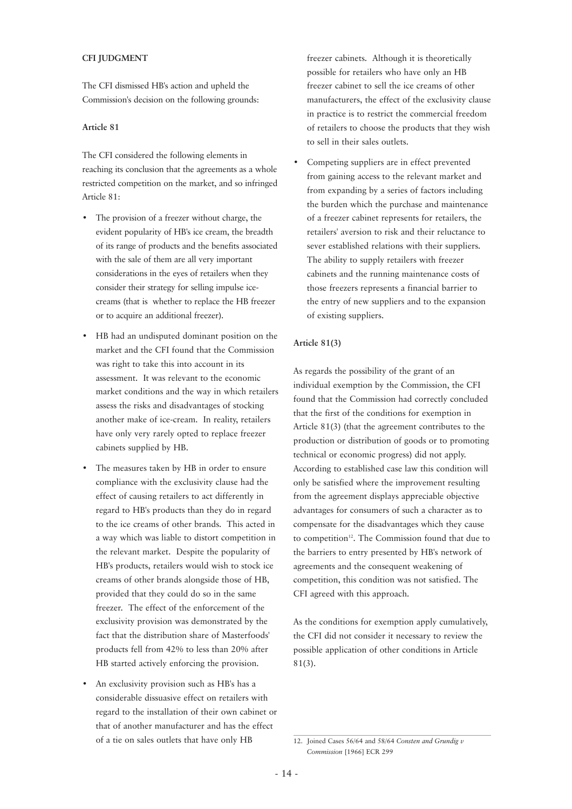#### **CFI JUDGMENT**

The CFI dismissed HB's action and upheld the Commission's decision on the following grounds:

#### **Article 81**

The CFI considered the following elements in reaching its conclusion that the agreements as a whole restricted competition on the market, and so infringed Article 81:

- The provision of a freezer without charge, the evident popularity of HB's ice cream, the breadth of its range of products and the benefits associated with the sale of them are all very important considerations in the eyes of retailers when they consider their strategy for selling impulse icecreams (that is whether to replace the HB freezer or to acquire an additional freezer).
- HB had an undisputed dominant position on the market and the CFI found that the Commission was right to take this into account in its assessment. It was relevant to the economic market conditions and the way in which retailers assess the risks and disadvantages of stocking another make of ice-cream. In reality, retailers have only very rarely opted to replace freezer cabinets supplied by HB.
- The measures taken by HB in order to ensure compliance with the exclusivity clause had the effect of causing retailers to act differently in regard to HB's products than they do in regard to the ice creams of other brands. This acted in a way which was liable to distort competition in the relevant market. Despite the popularity of HB's products, retailers would wish to stock ice creams of other brands alongside those of HB, provided that they could do so in the same freezer. The effect of the enforcement of the exclusivity provision was demonstrated by the fact that the distribution share of Masterfoods' products fell from 42% to less than 20% after HB started actively enforcing the provision.
- An exclusivity provision such as HB's has a considerable dissuasive effect on retailers with regard to the installation of their own cabinet or that of another manufacturer and has the effect of a tie on sales outlets that have only HB

freezer cabinets. Although it is theoretically possible for retailers who have only an HB freezer cabinet to sell the ice creams of other manufacturers, the effect of the exclusivity clause in practice is to restrict the commercial freedom of retailers to choose the products that they wish to sell in their sales outlets.

Competing suppliers are in effect prevented from gaining access to the relevant market and from expanding by a series of factors including the burden which the purchase and maintenance of a freezer cabinet represents for retailers, the retailers' aversion to risk and their reluctance to sever established relations with their suppliers. The ability to supply retailers with freezer cabinets and the running maintenance costs of those freezers represents a financial barrier to the entry of new suppliers and to the expansion of existing suppliers.

#### **Article 81(3)**

As regards the possibility of the grant of an individual exemption by the Commission, the CFI found that the Commission had correctly concluded that the first of the conditions for exemption in Article 81(3) (that the agreement contributes to the production or distribution of goods or to promoting technical or economic progress) did not apply. According to established case law this condition will only be satisfied where the improvement resulting from the agreement displays appreciable objective advantages for consumers of such a character as to compensate for the disadvantages which they cause to competition<sup>12</sup>. The Commission found that due to the barriers to entry presented by HB's network of agreements and the consequent weakening of competition, this condition was not satisfied. The CFI agreed with this approach.

As the conditions for exemption apply cumulatively, the CFI did not consider it necessary to review the possible application of other conditions in Article 81(3).

<sup>12.</sup> Joined Cases 56/64 and 58/64 *Consten and Grundig v Commission* [1966] ECR 299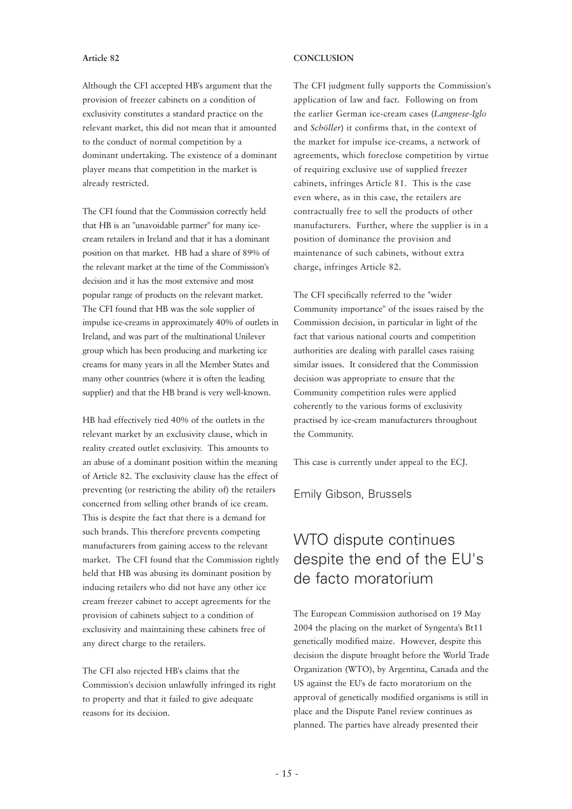#### **Article 82**

#### Although the CFI accepted HB's argument that the provision of freezer cabinets on a condition of exclusivity constitutes a standard practice on the relevant market, this did not mean that it amounted to the conduct of normal competition by a dominant undertaking. The existence of a dominant player means that competition in the market is already restricted.

The CFI found that the Commission correctly held that HB is an "unavoidable partner" for many icecream retailers in Ireland and that it has a dominant position on that market. HB had a share of 89% of the relevant market at the time of the Commission's decision and it has the most extensive and most popular range of products on the relevant market. The CFI found that HB was the sole supplier of impulse ice-creams in approximately 40% of outlets in Ireland, and was part of the multinational Unilever group which has been producing and marketing ice creams for many years in all the Member States and many other countries (where it is often the leading supplier) and that the HB brand is very well-known.

HB had effectively tied 40% of the outlets in the relevant market by an exclusivity clause, which in reality created outlet exclusivity. This amounts to an abuse of a dominant position within the meaning of Article 82. The exclusivity clause has the effect of preventing (or restricting the ability of) the retailers concerned from selling other brands of ice cream. This is despite the fact that there is a demand for such brands. This therefore prevents competing manufacturers from gaining access to the relevant market. The CFI found that the Commission rightly held that HB was abusing its dominant position by inducing retailers who did not have any other ice cream freezer cabinet to accept agreements for the provision of cabinets subject to a condition of exclusivity and maintaining these cabinets free of any direct charge to the retailers.

The CFI also rejected HB's claims that the Commission's decision unlawfully infringed its right to property and that it failed to give adequate reasons for its decision.

#### **CONCLUSION**

The CFI judgment fully supports the Commission's application of law and fact. Following on from the earlier German ice-cream cases (*Langnese-Iglo* and *Schöller*) it confirms that, in the context of the market for impulse ice-creams, a network of agreements, which foreclose competition by virtue of requiring exclusive use of supplied freezer cabinets, infringes Article 81. This is the case even where, as in this case, the retailers are contractually free to sell the products of other manufacturers. Further, where the supplier is in a position of dominance the provision and maintenance of such cabinets, without extra charge, infringes Article 82.

The CFI specifically referred to the "wider Community importance" of the issues raised by the Commission decision, in particular in light of the fact that various national courts and competition authorities are dealing with parallel cases raising similar issues. It considered that the Commission decision was appropriate to ensure that the Community competition rules were applied coherently to the various forms of exclusivity practised by ice-cream manufacturers throughout the Community.

This case is currently under appeal to the ECJ.

Emily Gibson, Brussels

# WTO dispute continues despite the end of the EU's de facto moratorium

The European Commission authorised on 19 May 2004 the placing on the market of Syngenta's Bt11 genetically modified maize. However, despite this decision the dispute brought before the World Trade Organization (WTO), by Argentina, Canada and the US against the EU's de facto moratorium on the approval of genetically modified organisms is still in place and the Dispute Panel review continues as planned. The parties have already presented their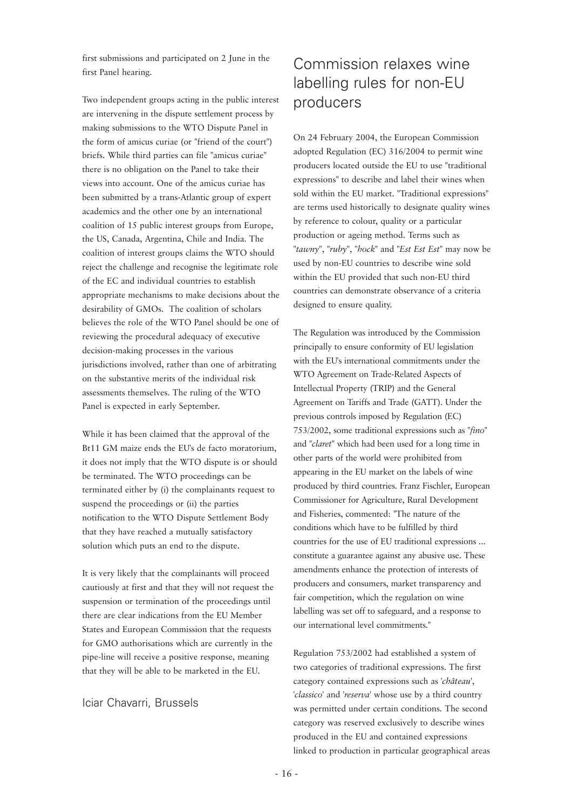first submissions and participated on 2 June in the first Panel hearing.

Two independent groups acting in the public interest are intervening in the dispute settlement process by making submissions to the WTO Dispute Panel in the form of amicus curiae (or "friend of the court") briefs. While third parties can file "amicus curiae" there is no obligation on the Panel to take their views into account. One of the amicus curiae has been submitted by a trans-Atlantic group of expert academics and the other one by an international coalition of 15 public interest groups from Europe, the US, Canada, Argentina, Chile and India. The coalition of interest groups claims the WTO should reject the challenge and recognise the legitimate role of the EC and individual countries to establish appropriate mechanisms to make decisions about the desirability of GMOs. The coalition of scholars believes the role of the WTO Panel should be one of reviewing the procedural adequacy of executive decision-making processes in the various jurisdictions involved, rather than one of arbitrating on the substantive merits of the individual risk assessments themselves. The ruling of the WTO Panel is expected in early September.

While it has been claimed that the approval of the Bt11 GM maize ends the EU's de facto moratorium, it does not imply that the WTO dispute is or should be terminated. The WTO proceedings can be terminated either by (i) the complainants request to suspend the proceedings or (ii) the parties notification to the WTO Dispute Settlement Body that they have reached a mutually satisfactory solution which puts an end to the dispute.

It is very likely that the complainants will proceed cautiously at first and that they will not request the suspension or termination of the proceedings until there are clear indications from the EU Member States and European Commission that the requests for GMO authorisations which are currently in the pipe-line will receive a positive response, meaning that they will be able to be marketed in the EU.

#### Iciar Chavarri, Brussels

# Commission relaxes wine labelling rules for non-EU producers

On 24 February 2004, the European Commission adopted Regulation (EC) 316/2004 to permit wine producers located outside the EU to use "traditional expressions" to describe and label their wines when sold within the EU market. "Traditional expressions" are terms used historically to designate quality wines by reference to colour, quality or a particular production or ageing method. Terms such as "*tawny*", "*ruby*", "*hock*" and "*Est Est Est*" may now be used by non-EU countries to describe wine sold within the EU provided that such non-EU third countries can demonstrate observance of a criteria designed to ensure quality.

The Regulation was introduced by the Commission principally to ensure conformity of EU legislation with the EU's international commitments under the WTO Agreement on Trade-Related Aspects of Intellectual Property (TRIP) and the General Agreement on Tariffs and Trade (GATT). Under the previous controls imposed by Regulation (EC) 753/2002, some traditional expressions such as "*fino*" and "*claret*" which had been used for a long time in other parts of the world were prohibited from appearing in the EU market on the labels of wine produced by third countries. Franz Fischler, European Commissioner for Agriculture, Rural Development and Fisheries, commented: "The nature of the conditions which have to be fulfilled by third countries for the use of EU traditional expressions ... constitute a guarantee against any abusive use. These amendments enhance the protection of interests of producers and consumers, market transparency and fair competition, which the regulation on wine labelling was set off to safeguard, and a response to our international level commitments."

Regulation 753/2002 had established a system of two categories of traditional expressions. The first category contained expressions such as '*château*', '*classico*' and '*reserva*' whose use by a third country was permitted under certain conditions. The second category was reserved exclusively to describe wines produced in the EU and contained expressions linked to production in particular geographical areas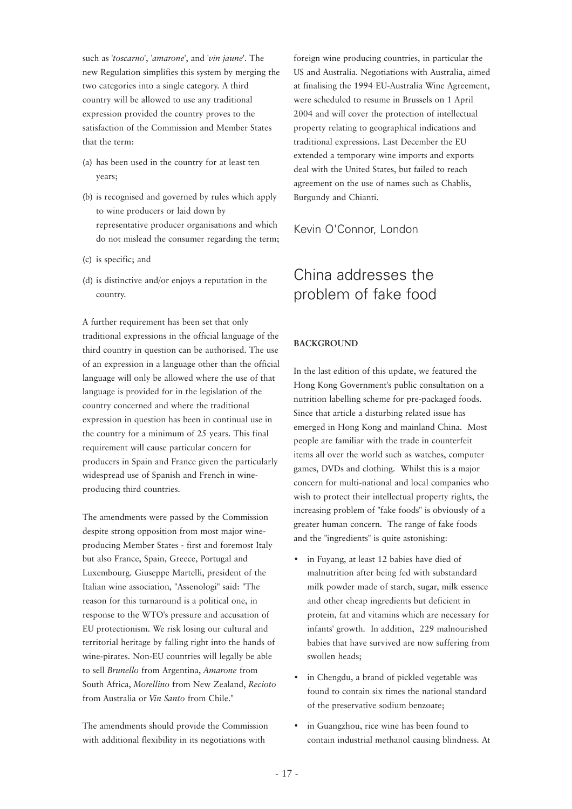such as '*toscarno*', '*amarone*', and '*vin jaune*'. The new Regulation simplifies this system by merging the two categories into a single category. A third country will be allowed to use any traditional expression provided the country proves to the satisfaction of the Commission and Member States that the term:

- (a) has been used in the country for at least ten years;
- (b) is recognised and governed by rules which apply to wine producers or laid down by representative producer organisations and which do not mislead the consumer regarding the term;
- (c) is specific; and
- (d) is distinctive and/or enjoys a reputation in the country.

A further requirement has been set that only traditional expressions in the official language of the third country in question can be authorised. The use of an expression in a language other than the official language will only be allowed where the use of that language is provided for in the legislation of the country concerned and where the traditional expression in question has been in continual use in the country for a minimum of 25 years. This final requirement will cause particular concern for producers in Spain and France given the particularly widespread use of Spanish and French in wineproducing third countries.

The amendments were passed by the Commission despite strong opposition from most major wineproducing Member States - first and foremost Italy but also France, Spain, Greece, Portugal and Luxembourg. Giuseppe Martelli, president of the Italian wine association, "Assenologi" said: "The reason for this turnaround is a political one, in response to the WTO's pressure and accusation of EU protectionism. We risk losing our cultural and territorial heritage by falling right into the hands of wine-pirates. Non-EU countries will legally be able to sell *Brunello* from Argentina, *Amarone* from South Africa, *Morellino* from New Zealand, *Recioto* from Australia or *Vin Santo* from Chile."

The amendments should provide the Commission with additional flexibility in its negotiations with

foreign wine producing countries, in particular the US and Australia. Negotiations with Australia, aimed at finalising the 1994 EU-Australia Wine Agreement, were scheduled to resume in Brussels on 1 April 2004 and will cover the protection of intellectual property relating to geographical indications and traditional expressions. Last December the EU extended a temporary wine imports and exports deal with the United States, but failed to reach agreement on the use of names such as Chablis, Burgundy and Chianti.

#### Kevin O'Connor, London

# China addresses the problem of fake food

#### **BACKGROUND**

In the last edition of this update, we featured the Hong Kong Government's public consultation on a nutrition labelling scheme for pre-packaged foods. Since that article a disturbing related issue has emerged in Hong Kong and mainland China. Most people are familiar with the trade in counterfeit items all over the world such as watches, computer games, DVDs and clothing. Whilst this is a major concern for multi-national and local companies who wish to protect their intellectual property rights, the increasing problem of "fake foods" is obviously of a greater human concern. The range of fake foods and the "ingredients" is quite astonishing:

- in Fuyang, at least 12 babies have died of malnutrition after being fed with substandard milk powder made of starch, sugar, milk essence and other cheap ingredients but deficient in protein, fat and vitamins which are necessary for infants' growth. In addition, 229 malnourished babies that have survived are now suffering from swollen heads;
- in Chengdu, a brand of pickled vegetable was found to contain six times the national standard of the preservative sodium benzoate;
- in Guangzhou, rice wine has been found to contain industrial methanol causing blindness. At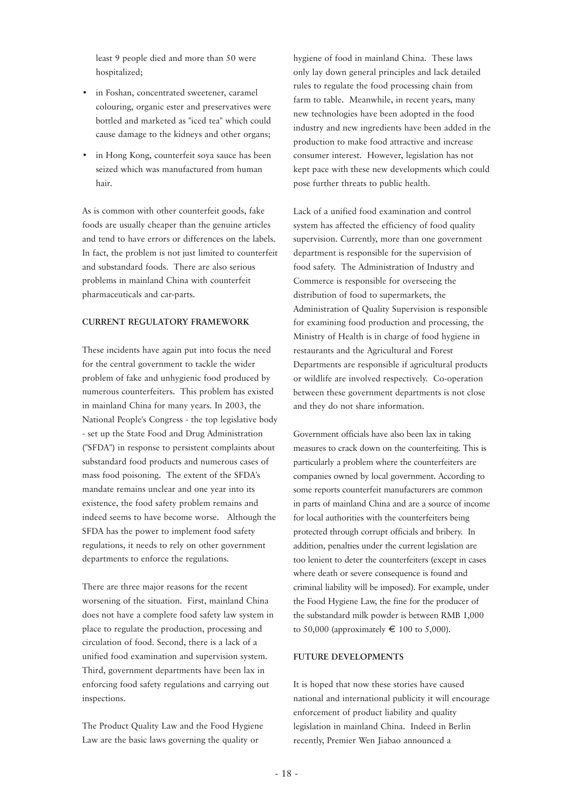least 9 people died and more than 50 were hospitalized;

- in Foshan, concentrated sweetener, caramel colouring, organic ester and preservatives were bottled and marketed as "iced tea" which could cause damage to the kidneys and other organs;
- in Hong Kong, counterfeit soya sauce has been seized which was manufactured from human hair.

As is common with other counterfeit goods, fake foods are usually cheaper than the genuine articles and tend to have errors or differences on the labels. In fact, the problem is not just limited to counterfeit and substandard foods. There are also serious problems in mainland China with counterfeit pharmaceuticals and car-parts.

#### **CURRENT REGULATORY FRAMEWORK**

These incidents have again put into focus the need for the central government to tackle the wider problem of fake and unhygienic food produced by numerous counterfeiters. This problem has existed in mainland China for many years. In 2003, the National People's Congress - the top legislative body - set up the State Food and Drug Administration ("SFDA") in response to persistent complaints about substandard food products and numerous cases of mass food poisoning. The extent of the SFDA's mandate remains unclear and one year into its existence, the food safety problem remains and indeed seems to have become worse. Although the SFDA has the power to implement food safety regulations, it needs to rely on other government departments to enforce the regulations.

There are three major reasons for the recent worsening of the situation. First, mainland China does not have a complete food safety law system in place to regulate the production, processing and circulation of food. Second, there is a lack of a unified food examination and supervision system. Third, government departments have been lax in enforcing food safety regulations and carrying out inspections.

The Product Quality Law and the Food Hygiene Law are the basic laws governing the quality or

hygiene of food in mainland China. These laws only lay down general principles and lack detailed rules to regulate the food processing chain from farm to table. Meanwhile, in recent years, many new technologies have been adopted in the food industry and new ingredients have been added in the production to make food attractive and increase consumer interest. However, legislation has not kept pace with these new developments which could pose further threats to public health.

Lack of a unified food examination and control system has affected the efficiency of food quality supervision. Currently, more than one government department is responsible for the supervision of food safety. The Administration of Industry and Commerce is responsible for overseeing the distribution of food to supermarkets, the Administration of Quality Supervision is responsible for examining food production and processing, the Ministry of Health is in charge of food hygiene in restaurants and the Agricultural and Forest Departments are responsible if agricultural products or wildlife are involved respectively. Co-operation between these government departments is not close and they do not share information.

Government officials have also been lax in taking measures to crack down on the counterfeiting. This is particularly a problem where the counterfeiters are companies owned by local government. According to some reports counterfeit manufacturers are common in parts of mainland China and are a source of income for local authorities with the counterfeiters being protected through corrupt officials and bribery. In addition, penalties under the current legislation are too lenient to deter the counterfeiters (except in cases where death or severe consequence is found and criminal liability will be imposed). For example, under the Food Hygiene Law, the fine for the producer of the substandard milk powder is between RMB 1,000 to 50,000 (approximately  $\in$  100 to 5,000).

#### **FUTURE DEVELOPMENTS**

It is hoped that now these stories have caused national and international publicity it will encourage enforcement of product liability and quality legislation in mainland China. Indeed in Berlin recently, Premier Wen Jiabao announced a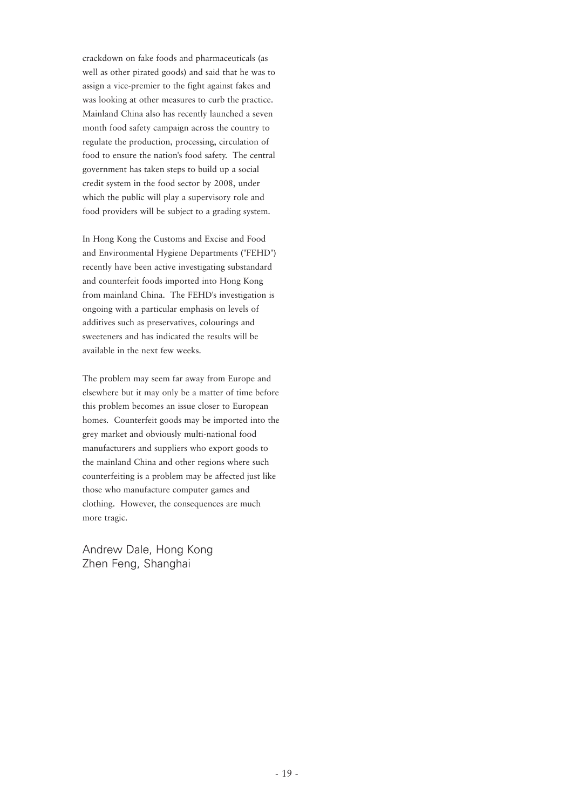crackdown on fake foods and pharmaceuticals (as well as other pirated goods) and said that he was to assign a vice-premier to the fight against fakes and was looking at other measures to curb the practice. Mainland China also has recently launched a seven month food safety campaign across the country to regulate the production, processing, circulation of food to ensure the nation's food safety. The central government has taken steps to build up a social credit system in the food sector by 2008, under which the public will play a supervisory role and food providers will be subject to a grading system.

In Hong Kong the Customs and Excise and Food and Environmental Hygiene Departments ("FEHD") recently have been active investigating substandard and counterfeit foods imported into Hong Kong from mainland China. The FEHD's investigation is ongoing with a particular emphasis on levels of additives such as preservatives, colourings and sweeteners and has indicated the results will be available in the next few weeks.

The problem may seem far away from Europe and elsewhere but it may only be a matter of time before this problem becomes an issue closer to European homes. Counterfeit goods may be imported into the grey market and obviously multi-national food manufacturers and suppliers who export goods to the mainland China and other regions where such counterfeiting is a problem may be affected just like those who manufacture computer games and clothing. However, the consequences are much more tragic.

Andrew Dale, Hong Kong Zhen Feng, Shanghai